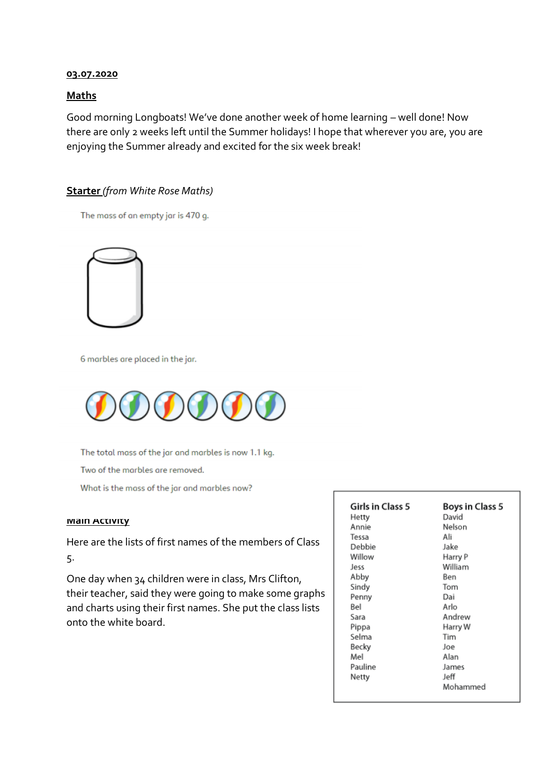#### **03.07.2020**

### **Maths**

Good morning Longboats! We've done another week of home learning – well done! Now there are only 2 weeks left until the Summer holidays! I hope that wherever you are, you are enjoying the Summer already and excited for the six week break!

## **Starter** *(from White Rose Maths)*

The mass of an empty jar is 470 g.



6 marbles are placed in the jar.



The total mass of the jar and marbles is now 1.1 kg.

Two of the marbles are removed.

What is the mass of the jar and marbles now?

#### **Main Activity**

Here are the lists of first names of the members of Class 5.

One day when 34 children were in class, Mrs Clifton, their teacher, said they were going to make some graphs and charts using their first names. She put the class lists onto the white board.

| <b>Girls in Class 5</b><br>Hetty<br>Annie<br>Tessa<br>Debbie<br>Willow<br>Jess<br>Abby<br>Sindy<br>Penny<br>Bel<br>Sara<br>Pippa<br>Selma<br>Becky<br>Mel<br>Pauline | <b>Boys in Class 5</b><br>David<br>Nelson<br>Ali<br>Jake<br>Harry P<br>William<br>Ben<br>Tom<br>Dai<br>Arlo<br>Andrew<br>Harry W<br>Tim<br>Joe<br>Alan<br>James |
|----------------------------------------------------------------------------------------------------------------------------------------------------------------------|-----------------------------------------------------------------------------------------------------------------------------------------------------------------|
| Netty                                                                                                                                                                | Jeff                                                                                                                                                            |
|                                                                                                                                                                      | Mohammed                                                                                                                                                        |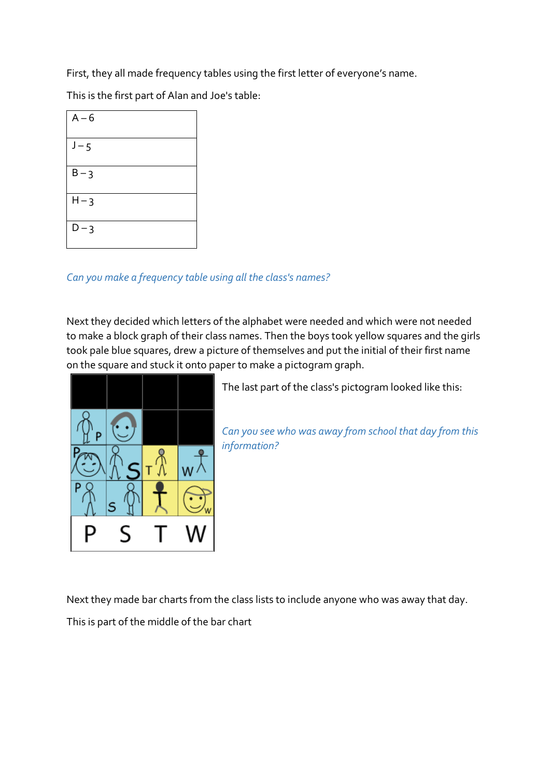First, they all made frequency tables using the first letter of everyone's name.

This is the first part of Alan and Joe's table:

| $A - 6$ |  |
|---------|--|
| $J - 5$ |  |
| $B - 3$ |  |
| $H - 3$ |  |
| $D - 3$ |  |

# *Can you make a frequency table using all the class's names?*

Next they decided which letters of the alphabet were needed and which were not needed to make a block graph of their class names. Then the boys took yellow squares and the girls took pale blue squares, drew a picture of themselves and put the initial of their first name on the square and stuck it onto paper to make a pictogram graph.



The last part of the class's pictogram looked like this:

*Can you see who was away from school that day from this information?*

Next they made bar charts from the class lists to include anyone who was away that day.

This is part of the middle of the bar chart